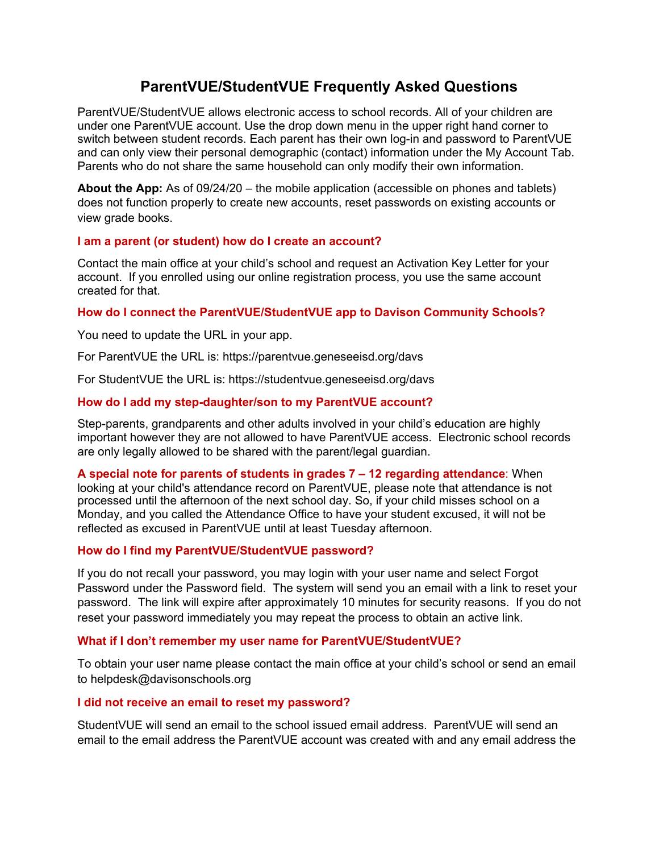# **ParentVUE/StudentVUE Frequently Asked Questions**

ParentVUE/StudentVUE allows electronic access to school records. All of your children are under one ParentVUE account. Use the drop down menu in the upper right hand corner to switch between student records. Each parent has their own log-in and password to ParentVUE and can only view their personal demographic (contact) information under the My Account Tab. Parents who do not share the same household can only modify their own information.

**About the App:** As of 09/24/20 – the mobile application (accessible on phones and tablets) does not function properly to create new accounts, reset passwords on existing accounts or view grade books.

## **I am a parent (or student) how do I create an account?**

Contact the main office at your child's school and request an Activation Key Letter for your account. If you enrolled using our online registration process, you use the same account created for that.

**How do I connect the ParentVUE/StudentVUE app to Davison Community Schools?**

You need to update the URL in your app.

For ParentVUE the URL is: https://parentvue.geneseeisd.org/davs

For StudentVUE the URL is: https://studentvue.geneseeisd.org/davs

# **How do I add my step-daughter/son to my ParentVUE account?**

Step-parents, grandparents and other adults involved in your child's education are highly important however they are not allowed to have ParentVUE access. Electronic school records are only legally allowed to be shared with the parent/legal guardian.

**A special note for parents of students in grades 7 – 12 regarding attendance**: When looking at your child's attendance record on ParentVUE, please note that attendance is not processed until the afternoon of the next school day. So, if your child misses school on a Monday, and you called the Attendance Office to have your student excused, it will not be reflected as excused in ParentVUE until at least Tuesday afternoon.

# **How do I find my ParentVUE/StudentVUE password?**

If you do not recall your password, you may login with your user name and select Forgot Password under the Password field. The system will send you an email with a link to reset your password. The link will expire after approximately 10 minutes for security reasons. If you do not reset your password immediately you may repeat the process to obtain an active link.

#### **What if I don't remember my user name for ParentVUE/StudentVUE?**

To obtain your user name please contact the main office at your child's school or send an email to helpdesk@davisonschools.org

# **I did not receive an email to reset my password?**

StudentVUE will send an email to the school issued email address. ParentVUE will send an email to the email address the ParentVUE account was created with and any email address the